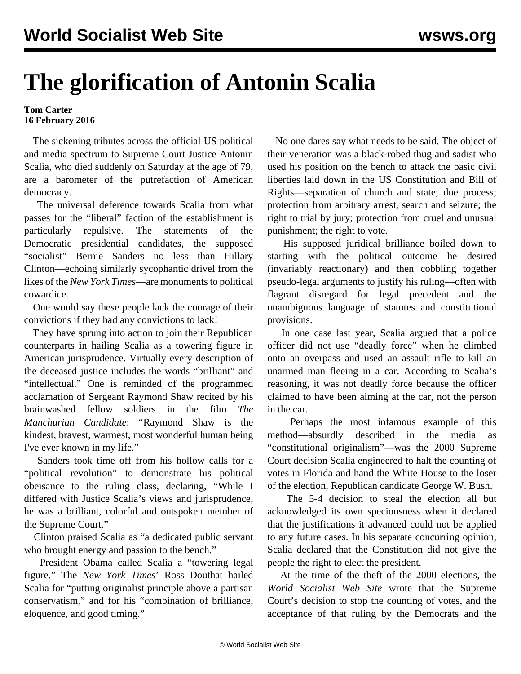## **The glorification of Antonin Scalia**

## **Tom Carter 16 February 2016**

 The sickening tributes across the official US political and media spectrum to Supreme Court Justice Antonin Scalia, who died suddenly on Saturday at the age of 79, are a barometer of the putrefaction of American democracy.

 The universal deference towards Scalia from what passes for the "liberal" faction of the establishment is particularly repulsive. The statements of the Democratic presidential candidates, the supposed "socialist" Bernie Sanders no less than Hillary Clinton—echoing similarly sycophantic drivel from the likes of the *New York Times*—are monuments to political cowardice.

 One would say these people lack the courage of their convictions if they had any convictions to lack!

 They have sprung into action to join their Republican counterparts in hailing Scalia as a towering figure in American jurisprudence. Virtually every description of the deceased justice includes the words "brilliant" and "intellectual." One is reminded of the programmed acclamation of Sergeant Raymond Shaw recited by his brainwashed fellow soldiers in the film *The Manchurian Candidate*: "Raymond Shaw is the kindest, bravest, warmest, most wonderful human being I've ever known in my life."

 Sanders took time off from his hollow calls for a "political revolution" to demonstrate his political obeisance to the ruling class, declaring, "While I differed with Justice Scalia's views and jurisprudence, he was a brilliant, colorful and outspoken member of the Supreme Court."

 Clinton praised Scalia as "a dedicated public servant who brought energy and passion to the bench."

 President Obama called Scalia a "towering legal figure." The *New York Times*' Ross Douthat hailed Scalia for "putting originalist principle above a partisan conservatism," and for his "combination of brilliance, eloquence, and good timing."

 No one dares say what needs to be said. The object of their veneration was a black-robed thug and sadist who used his position on the bench to attack the basic civil liberties laid down in the US Constitution and Bill of Rights—separation of church and state; due process; protection from arbitrary arrest, search and seizure; the right to trial by jury; protection from cruel and unusual punishment; the right to vote.

 His supposed juridical brilliance boiled down to starting with the political outcome he desired (invariably reactionary) and then cobbling together pseudo-legal arguments to justify his ruling—often with flagrant disregard for legal precedent and the unambiguous language of statutes and constitutional provisions.

 In one case last year, Scalia argued that a police officer did not use "deadly force" when he climbed onto an overpass and used an assault rifle to kill an unarmed man fleeing in a car. According to Scalia's reasoning, it was not deadly force because the officer claimed to have been aiming at the car, not the person in the car.

 Perhaps the most infamous example of this method—absurdly described in the media as "constitutional originalism"—was the 2000 Supreme Court decision Scalia engineered to halt the counting of votes in Florida and hand the White House to the loser of the election, Republican candidate George W. Bush.

 The 5-4 decision to steal the election all but acknowledged its own speciousness when it declared that the justifications it advanced could not be applied to any future cases. In his separate concurring opinion, Scalia declared that the Constitution did not give the people the right to elect the president.

 At the time of the theft of the 2000 elections, the *World Socialist Web Site* wrote that the Supreme Court's decision to stop the counting of votes, and the acceptance of that ruling by the Democrats and the